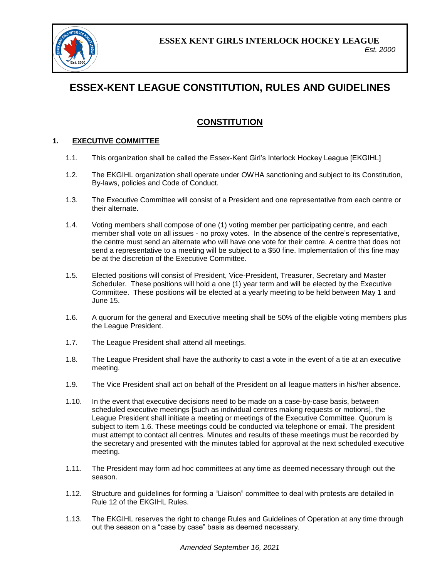

# **ESSEX-KENT LEAGUE CONSTITUTION, RULES AND GUIDELINES**

# **CONSTITUTION**

# **1. EXECUTIVE COMMITTEE**

- 1.1. This organization shall be called the Essex-Kent Girl's Interlock Hockey League [EKGIHL]
- 1.2. The EKGIHL organization shall operate under OWHA sanctioning and subject to its Constitution, By-laws, policies and Code of Conduct.
- 1.3. The Executive Committee will consist of a President and one representative from each centre or their alternate.
- 1.4. Voting members shall compose of one (1) voting member per participating centre, and each member shall vote on all issues - no proxy votes. In the absence of the centre's representative, the centre must send an alternate who will have one vote for their centre. A centre that does not send a representative to a meeting will be subject to a \$50 fine. Implementation of this fine may be at the discretion of the Executive Committee.
- 1.5. Elected positions will consist of President, Vice-President, Treasurer, Secretary and Master Scheduler. These positions will hold a one (1) year term and will be elected by the Executive Committee. These positions will be elected at a yearly meeting to be held between May 1 and June 15.
- 1.6. A quorum for the general and Executive meeting shall be 50% of the eligible voting members plus the League President.
- 1.7. The League President shall attend all meetings.
- 1.8. The League President shall have the authority to cast a vote in the event of a tie at an executive meeting.
- 1.9. The Vice President shall act on behalf of the President on all league matters in his/her absence.
- 1.10. In the event that executive decisions need to be made on a case-by-case basis, between scheduled executive meetings [such as individual centres making requests or motions], the League President shall initiate a meeting or meetings of the Executive Committee. Quorum is subject to item 1.6. These meetings could be conducted via telephone or email. The president must attempt to contact all centres. Minutes and results of these meetings must be recorded by the secretary and presented with the minutes tabled for approval at the next scheduled executive meeting.
- 1.11. The President may form ad hoc committees at any time as deemed necessary through out the season.
- 1.12. Structure and guidelines for forming a "Liaison" committee to deal with protests are detailed in Rule 12 of the EKGIHL Rules.
- 1.13. The EKGIHL reserves the right to change Rules and Guidelines of Operation at any time through out the season on a "case by case" basis as deemed necessary.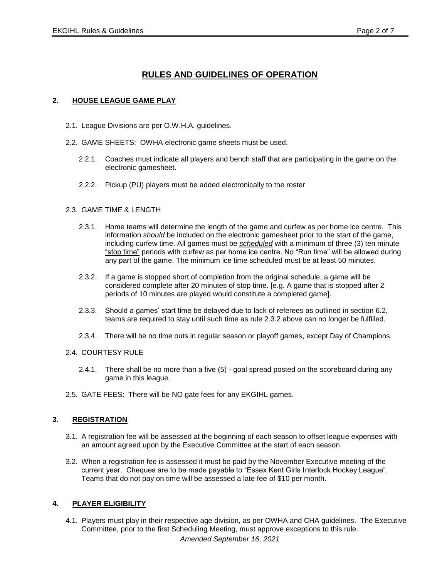# **RULES AND GUIDELINES OF OPERATION**

# **2. HOUSE LEAGUE GAME PLAY**

- 2.1. League Divisions are per O.W.H.A. guidelines.
- 2.2. GAME SHEETS: OWHA electronic game sheets must be used.
	- 2.2.1. Coaches must indicate all players and bench staff that are participating in the game on the electronic gamesheet.
	- 2.2.2. Pickup (PU) players must be added electronically to the roster

#### 2.3. GAME TIME & LENGTH

- 2.3.1. Home teams will determine the length of the game and curfew as per home ice centre. This information *should* be included on the electronic gamesheet prior to the start of the game, including curfew time. All games must be *scheduled* with a minimum of three (3) ten minute "stop time" periods with curfew as per home ice centre. No "Run time" will be allowed during any part of the game. The minimum ice time scheduled must be at least 50 minutes.
- 2.3.2. If a game is stopped short of completion from the original schedule, a game will be considered complete after 20 minutes of stop time. [e.g. A game that is stopped after 2 periods of 10 minutes are played would constitute a completed game].
- 2.3.3. Should a games' start time be delayed due to lack of referees as outlined in section 6.2, teams are required to stay until such time as rule 2.3.2 above can no longer be fulfilled.
- 2.3.4. There will be no time outs in regular season or playoff games, except Day of Champions.

#### 2.4. COURTESY RULE

- 2.4.1. There shall be no more than a five (5) goal spread posted on the scoreboard during any game in this league.
- 2.5. GATE FEES: There will be NO gate fees for any EKGIHL games.

#### **3. REGISTRATION**

- 3.1. A registration fee will be assessed at the beginning of each season to offset league expenses with an amount agreed upon by the Executive Committee at the start of each season.
- 3.2. When a registration fee is assessed it must be paid by the November Executive meeting of the current year. Cheques are to be made payable to "Essex Kent Girls Interlock Hockey League". Teams that do not pay on time will be assessed a late fee of \$10 per month.

# **4. PLAYER ELIGIBILITY**

*Amended September 16, 2021* 4.1. Players must play in their respective age division, as per OWHA and CHA guidelines. The Executive Committee, prior to the first Scheduling Meeting, must approve exceptions to this rule.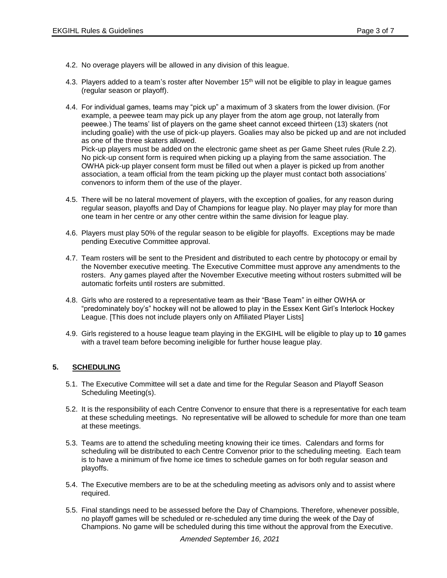4.2. No overage players will be allowed in any division of this league.

convenors to inform them of the use of the player.

- 4.3. Players added to a team's roster after November 15<sup>th</sup> will not be eligible to play in league games (regular season or playoff).
- 4.4. For individual games, teams may "pick up" a maximum of 3 skaters from the lower division. (For example, a peewee team may pick up any player from the atom age group, not laterally from peewee.) The teams' list of players on the game sheet cannot exceed thirteen (13) skaters (not including goalie) with the use of pick-up players. Goalies may also be picked up and are not included as one of the three skaters allowed. Pick-up players must be added on the electronic game sheet as per Game Sheet rules (Rule 2.2). No pick-up consent form is required when picking up a playing from the same association. The OWHA pick-up player consent form must be filled out when a player is picked up from another association, a team official from the team picking up the player must contact both associations'
- 4.5. There will be no lateral movement of players, with the exception of goalies, for any reason during regular season, playoffs and Day of Champions for league play. No player may play for more than one team in her centre or any other centre within the same division for league play.
- 4.6. Players must play 50% of the regular season to be eligible for playoffs. Exceptions may be made pending Executive Committee approval.
- 4.7. Team rosters will be sent to the President and distributed to each centre by photocopy or email by the November executive meeting. The Executive Committee must approve any amendments to the rosters. Any games played after the November Executive meeting without rosters submitted will be automatic forfeits until rosters are submitted.
- 4.8. Girls who are rostered to a representative team as their "Base Team" in either OWHA or "predominately boy's" hockey will not be allowed to play in the Essex Kent Girl's Interlock Hockey League. [This does not include players only on Affiliated Player Lists]
- 4.9. Girls registered to a house league team playing in the EKGIHL will be eligible to play up to **10** games with a travel team before becoming ineligible for further house league play.

# **5. SCHEDULING**

- 5.1. The Executive Committee will set a date and time for the Regular Season and Playoff Season Scheduling Meeting(s).
- 5.2. It is the responsibility of each Centre Convenor to ensure that there is a representative for each team at these scheduling meetings. No representative will be allowed to schedule for more than one team at these meetings.
- 5.3. Teams are to attend the scheduling meeting knowing their ice times. Calendars and forms for scheduling will be distributed to each Centre Convenor prior to the scheduling meeting. Each team is to have a minimum of five home ice times to schedule games on for both regular season and playoffs.
- 5.4. The Executive members are to be at the scheduling meeting as advisors only and to assist where required.
- 5.5. Final standings need to be assessed before the Day of Champions. Therefore, whenever possible, no playoff games will be scheduled or re-scheduled any time during the week of the Day of Champions. No game will be scheduled during this time without the approval from the Executive.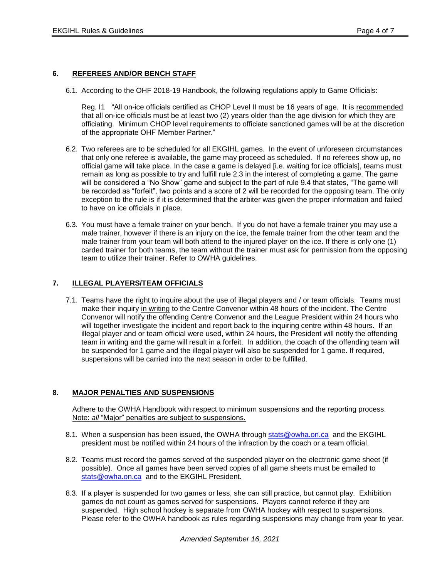#### **6. REFEREES AND/OR BENCH STAFF**

6.1. According to the OHF 2018-19 Handbook, the following regulations apply to Game Officials:

Reg. I1 "All on-ice officials certified as CHOP Level II must be 16 years of age. It is recommended that all on-ice officials must be at least two (2) years older than the age division for which they are officiating. Minimum CHOP level requirements to officiate sanctioned games will be at the discretion of the appropriate OHF Member Partner."

- 6.2. Two referees are to be scheduled for all EKGIHL games. In the event of unforeseen circumstances that only one referee is available, the game may proceed as scheduled. If no referees show up, no official game will take place. In the case a game is delayed [i.e. waiting for ice officials], teams must remain as long as possible to try and fulfill rule 2.3 in the interest of completing a game. The game will be considered a "No Show" game and subject to the part of rule 9.4 that states, "The game will be recorded as "forfeit", two points and a score of 2 will be recorded for the opposing team. The only exception to the rule is if it is determined that the arbiter was given the proper information and failed to have on ice officials in place.
- 6.3. You must have a female trainer on your bench. If you do not have a female trainer you may use a male trainer, however if there is an injury on the ice, the female trainer from the other team and the male trainer from your team will both attend to the injured player on the ice. If there is only one (1) carded trainer for both teams, the team without the trainer must ask for permission from the opposing team to utilize their trainer. Refer to OWHA guidelines.

# **7. ILLEGAL PLAYERS/TEAM OFFICIALS**

7.1. Teams have the right to inquire about the use of illegal players and / or team officials. Teams must make their inquiry in writing to the Centre Convenor within 48 hours of the incident. The Centre Convenor will notify the offending Centre Convenor and the League President within 24 hours who will together investigate the incident and report back to the inquiring centre within 48 hours. If an illegal player and or team official were used, within 24 hours, the President will notify the offending team in writing and the game will result in a forfeit. In addition, the coach of the offending team will be suspended for 1 game and the illegal player will also be suspended for 1 game. If required, suspensions will be carried into the next season in order to be fulfilled.

#### **8. MAJOR PENALTIES AND SUSPENSIONS**

Adhere to the OWHA Handbook with respect to minimum suspensions and the reporting process. Note: *all* "Major" penalties are subject to suspensions.

- 8.1. When a suspension has been issued, the OWHA through [stats@owha.on.ca](mailto:stats@owha.on.ca) and the EKGIHL president must be notified within 24 hours of the infraction by the coach or a team official.
- 8.2. Teams must record the games served of the suspended player on the electronic game sheet (if possible). Once all games have been served copies of all game sheets must be emailed to [stats@owha.on.ca](mailto:stats@owha.on.ca) and to the EKGIHL President.
- 8.3. If a player is suspended for two games or less, she can still practice, but cannot play. Exhibition games do not count as games served for suspensions. Players cannot referee if they are suspended. High school hockey is separate from OWHA hockey with respect to suspensions. Please refer to the OWHA handbook as rules regarding suspensions may change from year to year.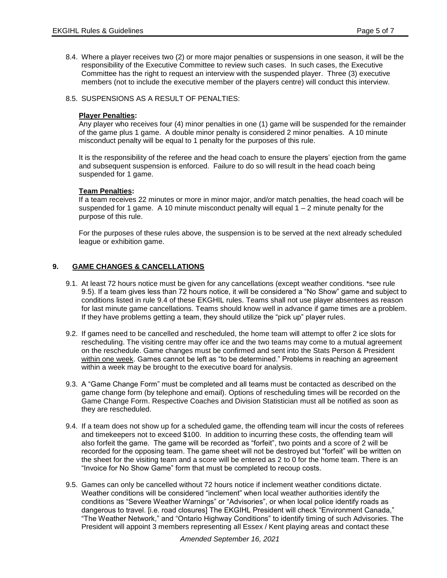8.4. Where a player receives two (2) or more major penalties or suspensions in one season, it will be the responsibility of the Executive Committee to review such cases. In such cases, the Executive Committee has the right to request an interview with the suspended player. Three (3) executive members (not to include the executive member of the players centre) will conduct this interview.

# 8.5. SUSPENSIONS AS A RESULT OF PENALTIES:

#### **Player Penalties:**

Any player who receives four (4) minor penalties in one (1) game will be suspended for the remainder of the game plus 1 game. A double minor penalty is considered 2 minor penalties. A 10 minute misconduct penalty will be equal to 1 penalty for the purposes of this rule.

It is the responsibility of the referee and the head coach to ensure the players' ejection from the game and subsequent suspension is enforced. Failure to do so will result in the head coach being suspended for 1 game.

# **Team Penalties:**

If a team receives 22 minutes or more in minor major, and/or match penalties, the head coach will be suspended for 1 game. A 10 minute misconduct penalty will equal  $1 - 2$  minute penalty for the purpose of this rule.

For the purposes of these rules above, the suspension is to be served at the next already scheduled league or exhibition game.

# **9. GAME CHANGES & CANCELLATIONS**

- 9.1. At least 72 hours notice must be given for any cancellations (except weather conditions. \*see rule 9.5). If a team gives less than 72 hours notice, it will be considered a "No Show" game and subject to conditions listed in rule 9.4 of these EKGHIL rules. Teams shall not use player absentees as reason for last minute game cancellations. Teams should know well in advance if game times are a problem. If they have problems getting a team, they should utilize the "pick up" player rules.
- 9.2. If games need to be cancelled and rescheduled, the home team will attempt to offer 2 ice slots for rescheduling. The visiting centre may offer ice and the two teams may come to a mutual agreement on the reschedule. Game changes must be confirmed and sent into the Stats Person & President within one week. Games cannot be left as "to be determined." Problems in reaching an agreement within a week may be brought to the executive board for analysis.
- 9.3. A "Game Change Form" must be completed and all teams must be contacted as described on the game change form (by telephone and email). Options of rescheduling times will be recorded on the Game Change Form. Respective Coaches and Division Statistician must all be notified as soon as they are rescheduled.
- 9.4. If a team does not show up for a scheduled game, the offending team will incur the costs of referees and timekeepers not to exceed \$100. In addition to incurring these costs, the offending team will also forfeit the game. The game will be recorded as "forfeit", two points and a score of 2 will be recorded for the opposing team. The game sheet will not be destroyed but "forfeit" will be written on the sheet for the visiting team and a score will be entered as 2 to 0 for the home team. There is an "Invoice for No Show Game" form that must be completed to recoup costs.
- 9.5. Games can only be cancelled without 72 hours notice if inclement weather conditions dictate. Weather conditions will be considered "inclement" when local weather authorities identify the conditions as "Severe Weather Warnings" or "Advisories", or when local police identify roads as dangerous to travel. [i.e. road closures] The EKGIHL President will check "Environment Canada," "The Weather Network," and "Ontario Highway Conditions" to identify timing of such Advisories. The President will appoint 3 members representing all Essex / Kent playing areas and contact these

*Amended September 16, 2021*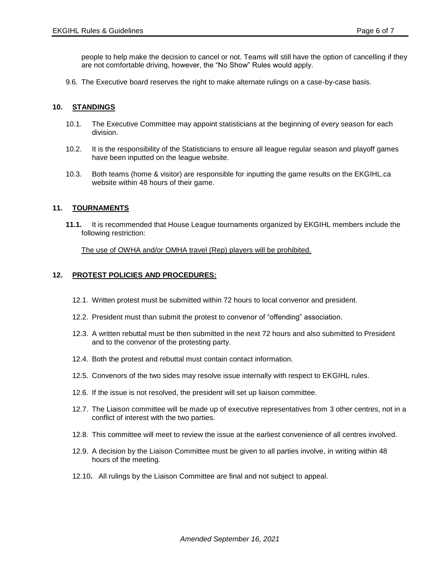people to help make the decision to cancel or not. Teams will still have the option of cancelling if they are not comfortable driving, however, the "No Show" Rules would apply.

9.6. The Executive board reserves the right to make alternate rulings on a case-by-case basis.

# **10. STANDINGS**

- 10.1. The Executive Committee may appoint statisticians at the beginning of every season for each division.
- 10.2. It is the responsibility of the Statisticians to ensure all league regular season and playoff games have been inputted on the league website.
- 10.3. Both teams (home & visitor) are responsible for inputting the game results on the EKGIHL.ca website within 48 hours of their game.

#### **11. TOURNAMENTS**

**11.1.** It is recommended that House League tournaments organized by EKGIHL members include the following restriction:

The use of OWHA and/or OMHA travel (Rep) players will be prohibited.

# **12. PROTEST POLICIES AND PROCEDURES:**

- 12.1. Written protest must be submitted within 72 hours to local convenor and president.
- 12.2. President must than submit the protest to convenor of "offending" association.
- 12.3. A written rebuttal must be then submitted in the next 72 hours and also submitted to President and to the convenor of the protesting party.
- 12.4. Both the protest and rebuttal must contain contact information.
- 12.5. Convenors of the two sides may resolve issue internally with respect to EKGIHL rules.
- 12.6. If the issue is not resolved, the president will set up liaison committee.
- 12.7. The Liaison committee will be made up of executive representatives from 3 other centres, not in a conflict of interest with the two parties.
- 12.8. This committee will meet to review the issue at the earliest convenience of all centres involved.
- 12.9. A decision by the Liaison Committee must be given to all parties involve, in writing within 48 hours of the meeting.
- 12.10**.** All rulings by the Liaison Committee are final and not subject to appeal.